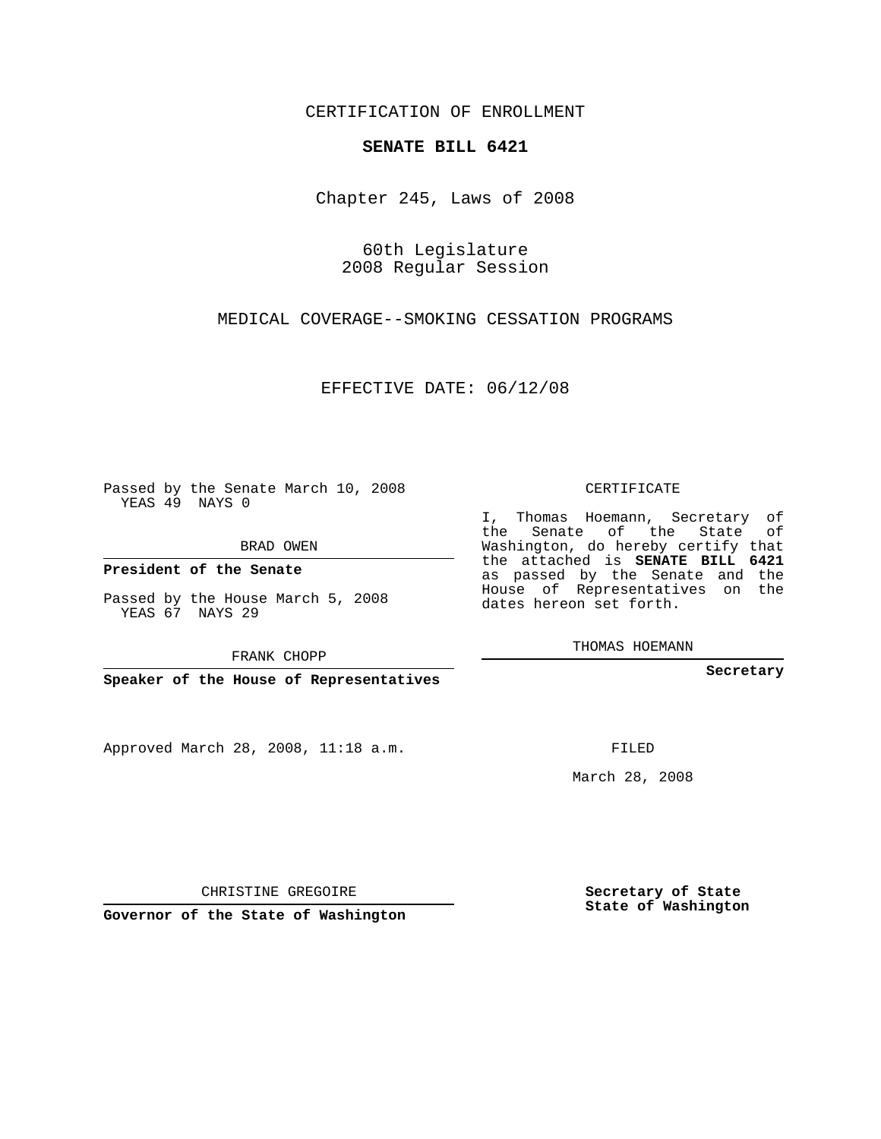CERTIFICATION OF ENROLLMENT

## **SENATE BILL 6421**

Chapter 245, Laws of 2008

60th Legislature 2008 Regular Session

MEDICAL COVERAGE--SMOKING CESSATION PROGRAMS

EFFECTIVE DATE: 06/12/08

Passed by the Senate March 10, 2008 YEAS 49 NAYS 0

BRAD OWEN

**President of the Senate**

Passed by the House March 5, 2008 YEAS 67 NAYS 29

FRANK CHOPP

**Speaker of the House of Representatives**

Approved March 28, 2008, 11:18 a.m.

CERTIFICATE

I, Thomas Hoemann, Secretary of the Senate of the State of Washington, do hereby certify that the attached is **SENATE BILL 6421** as passed by the Senate and the House of Representatives on the dates hereon set forth.

THOMAS HOEMANN

**Secretary**

FILED

March 28, 2008

**Secretary of State State of Washington**

CHRISTINE GREGOIRE

**Governor of the State of Washington**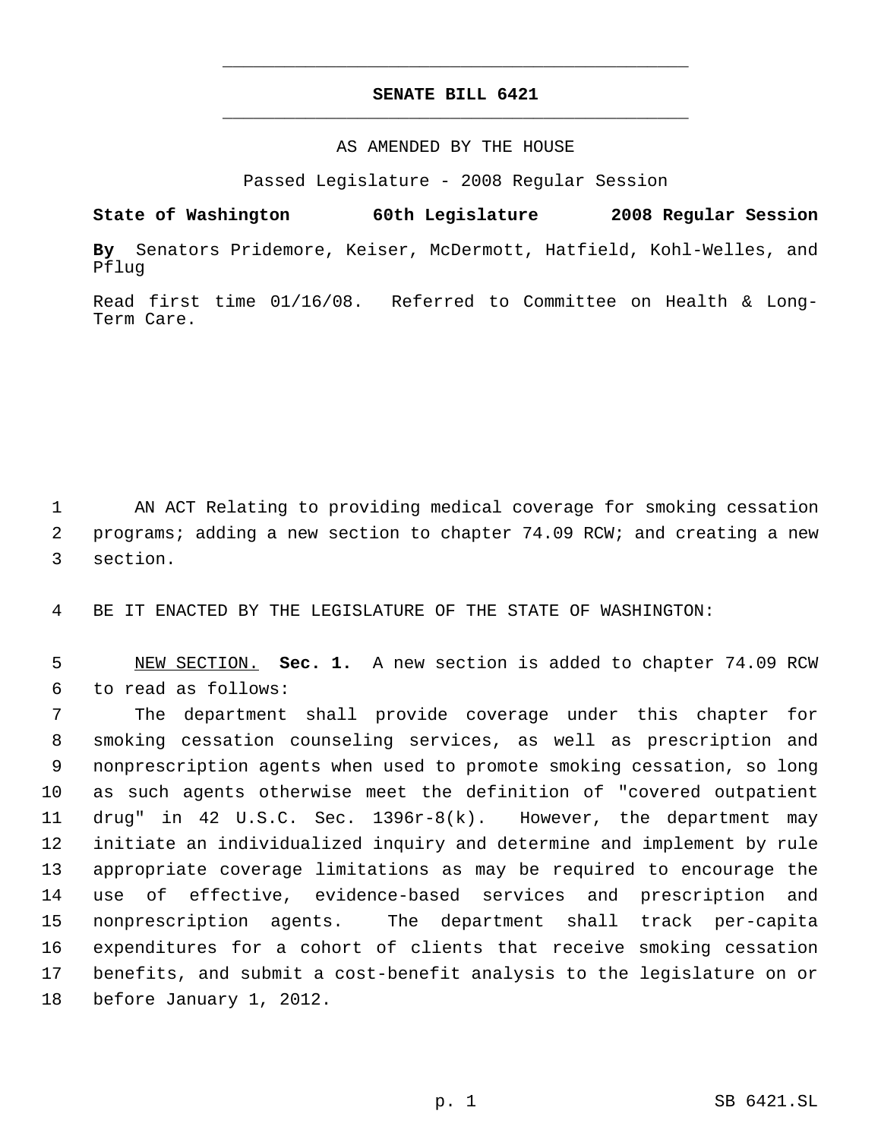## **SENATE BILL 6421** \_\_\_\_\_\_\_\_\_\_\_\_\_\_\_\_\_\_\_\_\_\_\_\_\_\_\_\_\_\_\_\_\_\_\_\_\_\_\_\_\_\_\_\_\_

\_\_\_\_\_\_\_\_\_\_\_\_\_\_\_\_\_\_\_\_\_\_\_\_\_\_\_\_\_\_\_\_\_\_\_\_\_\_\_\_\_\_\_\_\_

## AS AMENDED BY THE HOUSE

Passed Legislature - 2008 Regular Session

**State of Washington 60th Legislature 2008 Regular Session By** Senators Pridemore, Keiser, McDermott, Hatfield, Kohl-Welles, and Pflug

Read first time 01/16/08. Referred to Committee on Health & Long-Term Care.

1 AN ACT Relating to providing medical coverage for smoking cessation 2 programs; adding a new section to chapter 74.09 RCW; and creating a new 3 section.

4 BE IT ENACTED BY THE LEGISLATURE OF THE STATE OF WASHINGTON:

 5 NEW SECTION. **Sec. 1.** A new section is added to chapter 74.09 RCW 6 to read as follows:

 The department shall provide coverage under this chapter for smoking cessation counseling services, as well as prescription and nonprescription agents when used to promote smoking cessation, so long as such agents otherwise meet the definition of "covered outpatient drug" in 42 U.S.C. Sec. 1396r-8(k). However, the department may initiate an individualized inquiry and determine and implement by rule appropriate coverage limitations as may be required to encourage the use of effective, evidence-based services and prescription and nonprescription agents. The department shall track per-capita expenditures for a cohort of clients that receive smoking cessation benefits, and submit a cost-benefit analysis to the legislature on or before January 1, 2012.